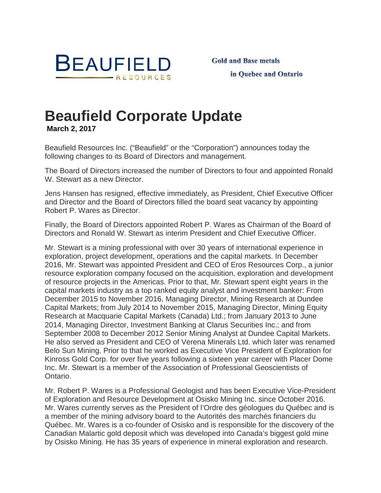

## **[Beaufield Corporate Update](http://www.beaufield.com/investors/press-releases/?p=1760) March 2, 2017**

Beaufield Resources Inc. ("Beaufield" or the "Corporation") announces today the following changes to its Board of Directors and management.

The Board of Directors increased the number of Directors to four and appointed Ronald W. Stewart as a new Director.

Jens Hansen has resigned, effective immediately, as President, Chief Executive Officer and Director and the Board of Directors filled the board seat vacancy by appointing Robert P. Wares as Director.

Finally, the Board of Directors appointed Robert P. Wares as Chairman of the Board of Directors and Ronald W. Stewart as interim President and Chief Executive Officer.

Mr. Stewart is a mining professional with over 30 years of international experience in exploration, project development, operations and the capital markets. In December 2016, Mr. Stewart was appointed President and CEO of Eros Resources Corp., a junior resource exploration company focused on the acquisition, exploration and development of resource projects in the Americas. Prior to that, Mr. Stewart spent eight years in the capital markets industry as a top ranked equity analyst and investment banker: From December 2015 to November 2016, Managing Director, Mining Research at Dundee Capital Markets; from July 2014 to November 2015, Managing Director, Mining Equity Research at Macquarie Capital Markets (Canada) Ltd.; from January 2013 to June 2014, Managing Director, Investment Banking at Clarus Securities Inc.; and from September 2008 to December 2012 Senior Mining Analyst at Dundee Capital Markets. He also served as President and CEO of Verena Minerals Ltd. which later was renamed Belo Sun Mining. Prior to that he worked as Executive Vice President of Exploration for Kinross Gold Corp. for over five years following a sixteen year career with Placer Dome Inc. Mr. Stewart is a member of the Association of Professional Geoscientists of Ontario.

Mr. Robert P. Wares is a Professional Geologist and has been Executive Vice-President of Exploration and Resource Development at Osisko Mining Inc. since October 2016. Mr. Wares currently serves as the President of l'Ordre des géologues du Québec and is a member of the mining advisory board to the Autorités des marchés financiers du Québec. Mr. Wares is a co-founder of Osisko and is responsible for the discovery of the Canadian Malartic gold deposit which was developed into Canada's biggest gold mine by Osisko Mining. He has 35 years of experience in mineral exploration and research.